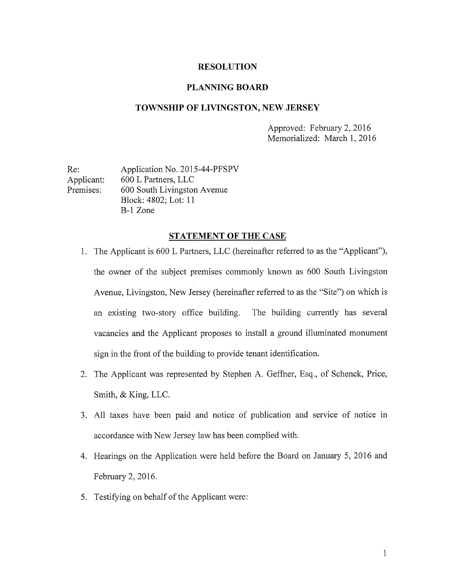## RESOLUTION

# PLANNING BOARD

# TOWNSHIP OF LIVINGSTON, NEW JERSEY

Approved: February 2, 2016 Memorialized: March 1, 2016

Re: Application No. 2015-44-PFSPV Applicant: 600 L Partners, LLC Premises: 600 South Livingston Avenue Block: 4802; Lot: 11 B-i Zone

#### STATEMENT OF THE CASE

- 1. The Applicant is 600 L Partners, LLC (hereinafter referred to as the "Applicant"), the owner of the subject premises commonly known as 600 South Livingston Avenue, Livingston, New Jersey (hereinafter referred to as the "Site") on which is an existing two-story office building. The building currently has several vacancies and the Applicant proposes to install a ground illuminated monument sign in the front of the building to provide tenant identification.
- 2. The Applicant was represented by Stephen A. Geffner, Esq., of Schenck, Price, Smith, & King, LLC.
- 3. All taxes have been paid and notice of publication and service of notice in accordance with New Jersey law has been complied with.
- 4. Hearings on the Application were held before the Board on January 5, 2016 and February 2, 2016.
- 5. Testifying on behalf of the Applicant were: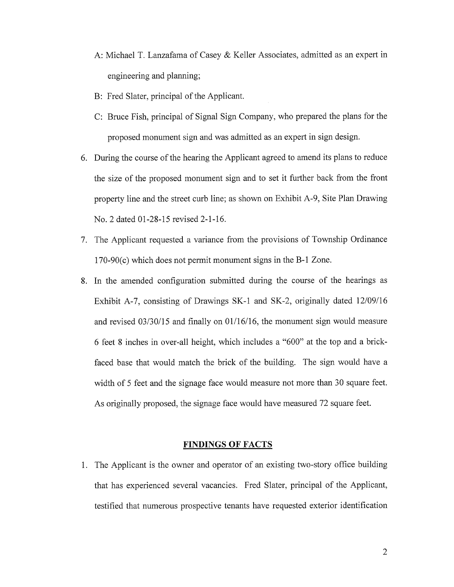- A: Michael T. Lanzafama of Casey & Keller Associates, admitted as an expert in engineering and planning;
- B: Fred Slater, principal of the Applicant.
- C: Bruce Fish, principal of Signal Sign Company, who prepared the plans for the proposed monument sign and was admitted as an expert in sign design.
- 6. During the course of the hearing the Applicant agreed to amend its plans to reduce the size of the proposed monument sign and to set it further back from the front property line and the street curb line; as shown on Exhibit A-9, Site Plan Drawing No. 2 dated 01-28-15 revised 2-1-16.
- 7. The Applicant requested <sup>a</sup> variance from the provisions of Township Ordinance 170-90(c) which does not permit monument signs in the B-i Zone.
- 8. In the amended configuration submitted during the course of the hearings as Exhibit A-7, consisting of Drawings SK-1 and SK-2, originally dated  $12/09/16$ and revised 03/30/15 and finally on 01/16/16, the monument sign would measure 6 feet <sup>8</sup> inches in over-all height, which includes a "600" at the top and a brickfaced base that would match the brick of the building. The sign would have <sup>a</sup> width of 5 feet and the signage face would measure not more than 30 square feet. As originally proposed, the signage face would have measured 72 square feet.

## FINDINGS OF FACTS

1. The Applicant is the owner and operator of an existing two-story office building that has experienced several vacancies. Fred Slater, principal of the Applicant, testified that numerous prospective tenants have requested exterior identification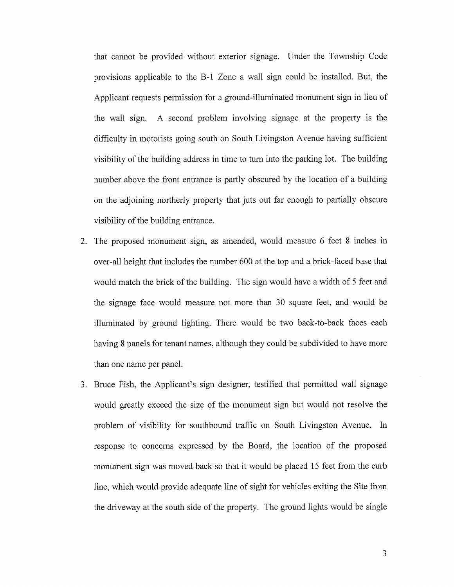that cannot be provided without exterior signage. Under the Township Code provisions applicable to the B-i Zone a wall sign could be installed. But, the Applicant requests permission for <sup>a</sup> ground-illuminated monument sign in lieu of the wall sign. A second problem involving signage at the property is the difficulty in motorists going south on South Livingston Avenue having sufficient visibility of the building address in time to turn into the parking lot. The building number above the front entrance is partly obscured by the location of <sup>a</sup> building on the adjoining northerly property that juts out far enough to partially obscure visibility of the building entrance.

- 2. The proposed monument sign, as amended, would measure 6 feet 8 inches in over-all height that includes the number 600 at the top and a brick-faced base that would match the brick of the building. The sign would have <sup>a</sup> width of <sup>5</sup> feet and the signage face would measure not more than 30 square feet, and would be illuminated by ground lighting. There would be two back-to-back faces each having <sup>8</sup> panels for tenant names, although they could be subdivided to have more than one name per panel.
- 3. Bruce Fish, the Applicant's sign designer, testified that permitted wall signage would greatly exceed the size of the monument sign but would not resolve the problem of visibility for southbound traffic on South Livingston Avenue. In response to concerns expressed by the Board, the location of the proposed monument sign was moved back so that it would be placed <sup>15</sup> feet from the curb line, which would provide adequate line of sight for vehicles exiting the Site from the driveway at the south side of the property. The ground lights would be single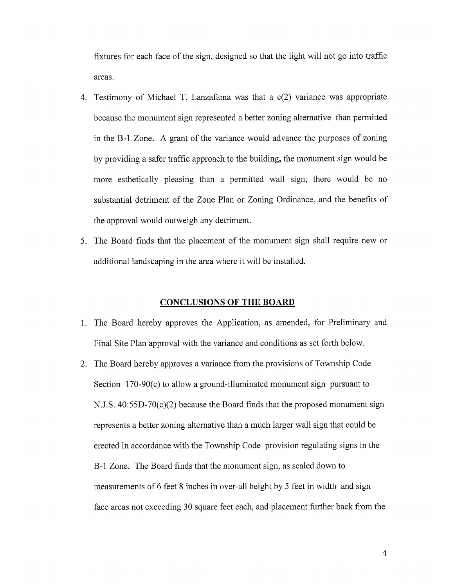fixtures for each face of the sign, designed so that the light will not go into traffic areas.

- 4. Testimony of Michael T. Lanzafama was that <sup>a</sup> c(2) variance was appropriate because the monument sign represented a better zoning alternative than permitted in the B-i Zone. A grant of the variance would advance the purposes of zoning by providing a safer traffic approach to the building, the monument sign would be more esthetically pleasing than a permitted wall sign, there would be no substantial detriment of the Zone Plan or Zoning Ordinance, and the benefits of the approval would outweigh any detriment.
- 5. The Board finds that the placement of the monument sign shall require new or additional landscaping in the area where it will be installed.

#### CONCLUSIONS OF THE BOARD

- 1. The Board hereby approves the Application, as amended, for Preliminary and Final Site Plan approval with the variance and conditions as set forth below.
- 2. The Board hereby approves <sup>a</sup> variance from the provisions of Township Code Section 170-90(c) to allow a ground-illuminated monument sign pursuant to N.J.S. 40:55D-70(c)(2) because the Board finds that the proposed monument sign represents a better zoning alternative than a much larger wall sign that could be erected in accordance with the Township Code provision regulating signs in the B-i Zone. The Board finds that the monument sign, as scaled down to measurements of <sup>6</sup> feet <sup>8</sup> inches in over-all height by <sup>5</sup> feet in width and sign face areas not exceeding 30 square feet each, and placement further back from the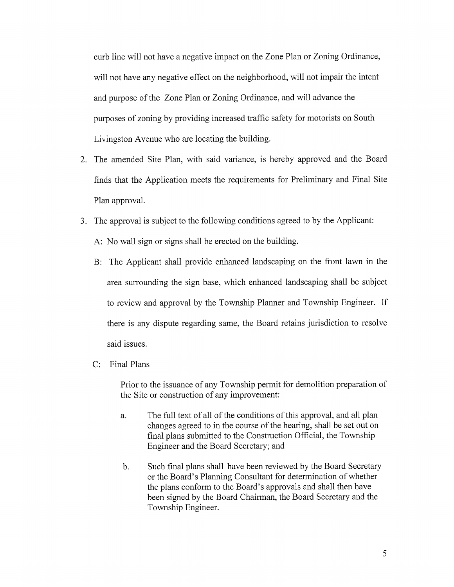curb line will not have <sup>a</sup> negative impact on the Zone Plan or Zoning Ordinance, will not have any negative effect on the neighborhood, will not impair the intent and purpose of the Zone Plan or Zoning Ordinance, and will advance the purposes of zoning by providing increased traffic safety for motorists on South Livingston Avenue who are locating the building.

- 2. The amended Site Plan, with said variance, is hereby approved and the Board finds that the Application meets the requirements for Preliminary and Final Site Plan approval.
- 3. The approval is subject to the following conditions agreed to by the Applicant: A: No wall sign or signs shall be erected on the building.
	- B: The Applicant shall provide enhanced landscaping on the front lawn in the area surrounding the sign base, which enhanced landscaping shall be subject to review and approval by the Township Planner and Township Engineer. If there is any dispute regarding same, the Board retains jurisdiction to resolve said issues.
	- C: Final Plans

Prior to the issuance of any Township permit for demolition preparation of the Site or construction of any improvement:

- a. The full text of all of the conditions of this approval, and all plan changes agreed to in the course of the hearing, shall be set out on final plans submitted to the Construction Official, the Township Engineer and the Board Secretary; and
- b. Such final plans shall have been reviewed by the Board Secretary or the Board's Planning Consultant for determination of whether the plans conform to the Board's approvals and shall then have been signed by the Board Chairman, the Board Secretary and the Township Engineer.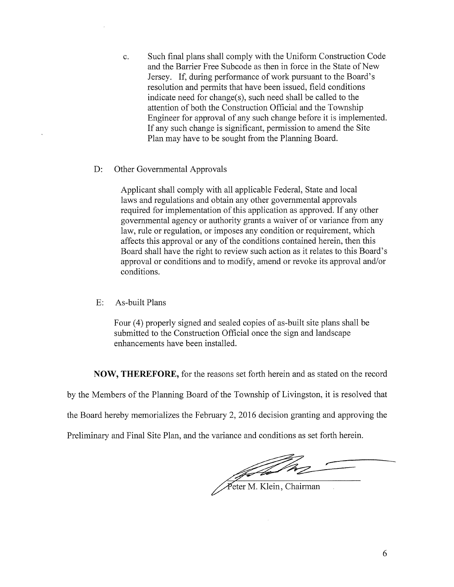- c. Such final plans shall comply with the Uniform Construction Code and the Barrier Free Subcode as then in force in the State of New Jersey. If, during performance of work pursuant to the Board's resolution and permits that have been issued, field conditions indicate need for change(s), such need shall be called to the attention of both the Construction Official and the Township Engineer for approval of any such change before it is implemented. If any such change is significant, permission to amend the Site Plan may have to be sought from the Planning Board.
- D: Other Govermnental Approvals

Applicant shall comply with all applicable Federal, State and local laws and regulations and obtain any other governmental approvals required for implementation of this application as approved. If any other governmental agency or authority grants a waiver of or variance from any law, rule or regulation, or imposes any condition or requirement, which affects this approval or any of the conditions contained herein, then this Board shall have the right to review such action as it relates to this Board's approval or conditions and to modify, amend or revoke its approval and/or conditions.

E: As-built Plans

Four (4) properly signed and sealed copies of as-built site plans shall be submitted to the Construction Official once the sign and landscape enhancements have been installed.

NOW, THEREFORE, for the reasons set forth herein and as stated on the record

by the Members of the Planning Board of the Township of Livingston, it is resolved that

the Board hereby memorializes the February 2, 2016 decision granting and approving the

Preliminary and Final Site Plan, and the variance and conditions as set forth herein.

Feter M. Klein, Chairman